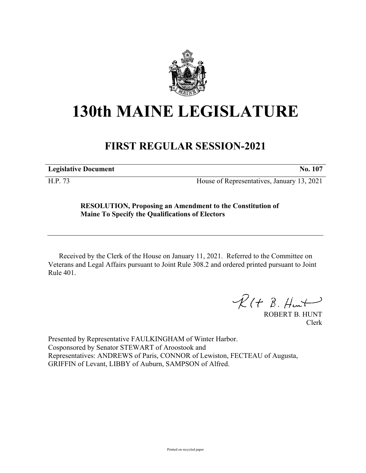

## **130th MAINE LEGISLATURE**

## **FIRST REGULAR SESSION-2021**

**Legislative Document No. 107**

H.P. 73 House of Representatives, January 13, 2021

## **RESOLUTION, Proposing an Amendment to the Constitution of Maine To Specify the Qualifications of Electors**

Received by the Clerk of the House on January 11, 2021. Referred to the Committee on Veterans and Legal Affairs pursuant to Joint Rule 308.2 and ordered printed pursuant to Joint Rule 401.

 $R(H B. H<sub>un</sub>)$ 

ROBERT B. HUNT Clerk

Presented by Representative FAULKINGHAM of Winter Harbor. Cosponsored by Senator STEWART of Aroostook and Representatives: ANDREWS of Paris, CONNOR of Lewiston, FECTEAU of Augusta, GRIFFIN of Levant, LIBBY of Auburn, SAMPSON of Alfred.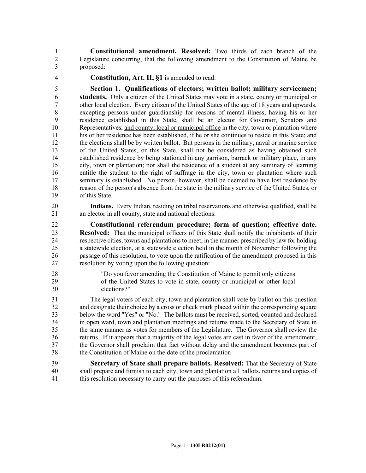1 **Constitutional amendment. Resolved:** Two thirds of each branch of the 2 Legislature concurring, that the following amendment to the Constitution of Maine be 3 proposed:

4 **Constitution, Art. II, §1** is amended to read:

5 **Section 1. Qualifications of electors; written ballot; military servicemen;**  6 **students.** Only a citizen of the United States may vote in a state, county or municipal or 7 other local election. Every citizen of the United States of the age of 18 years and upwards, 8 excepting persons under guardianship for reasons of mental illness, having his or her 9 residence established in this State, shall be an elector for Governor, Senators and 10 Representatives, and county, local or municipal office in the city, town or plantation where 11 his or her residence has been established, if he or she continues to reside in this State; and 12 the elections shall be by written ballot. But persons in the military, naval or marine service 13 of the United States, or this State, shall not be considered as having obtained such 14 established residence by being stationed in any garrison, barrack or military place, in any 15 city, town or plantation; nor shall the residence of a student at any seminary of learning 16 entitle the student to the right of suffrage in the city, town or plantation where such 17 seminary is established. No person, however, shall be deemed to have lost residence by 18 reason of the person's absence from the state in the military service of the United States, or 19 of this State.

20 **Indians.** Every Indian, residing on tribal reservations and otherwise qualified, shall be 21 an elector in all county, state and national elections.

22 **Constitutional referendum procedure; form of question; effective date.**  23 **Resolved:** That the municipal officers of this State shall notify the inhabitants of their 24 respective cities, towns and plantations to meet, in the manner prescribed by law for holding 25 a statewide election, at a statewide election held in the month of November following the 26 passage of this resolution, to vote upon the ratification of the amendment proposed in this 27 resolution by voting upon the following question:

28 "Do you favor amending the Constitution of Maine to permit only citizens 29 of the United States to vote in state, county or municipal or other local 30 elections?"

31 The legal voters of each city, town and plantation shall vote by ballot on this question 32 and designate their choice by a cross or check mark placed within the corresponding square 33 below the word "Yes" or "No." The ballots must be received, sorted, counted and declared 34 in open ward, town and plantation meetings and returns made to the Secretary of State in 35 the same manner as votes for members of the Legislature. The Governor shall review the 36 returns. If it appears that a majority of the legal votes are cast in favor of the amendment, 37 the Governor shall proclaim that fact without delay and the amendment becomes part of 38 the Constitution of Maine on the date of the proclamation

39 **Secretary of State shall prepare ballots. Resolved:** That the Secretary of State 40 shall prepare and furnish to each city, town and plantation all ballots, returns and copies of 41 this resolution necessary to carry out the purposes of this referendum.